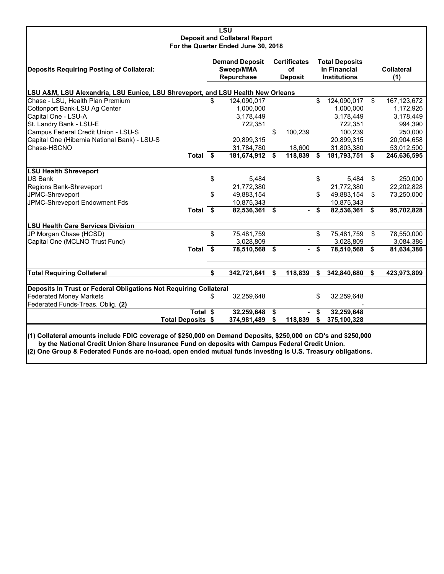|                                                                                                                                                                                                                                                                                                                                  |                                                  | <b>LSU</b><br><b>Deposit and Collateral Report</b> |                                             |         |                                                              |                           |    |                          |
|----------------------------------------------------------------------------------------------------------------------------------------------------------------------------------------------------------------------------------------------------------------------------------------------------------------------------------|--------------------------------------------------|----------------------------------------------------|---------------------------------------------|---------|--------------------------------------------------------------|---------------------------|----|--------------------------|
|                                                                                                                                                                                                                                                                                                                                  |                                                  | For the Quarter Ended June 30, 2018                |                                             |         |                                                              |                           |    |                          |
| <b>Deposits Requiring Posting of Collateral:</b>                                                                                                                                                                                                                                                                                 | <b>Demand Deposit</b><br>Sweep/MMA<br>Repurchase |                                                    | <b>Certificates</b><br>οf<br><b>Deposit</b> |         | <b>Total Deposits</b><br>in Financial<br><b>Institutions</b> |                           |    | <b>Collateral</b><br>(1) |
| LSU A&M, LSU Alexandria, LSU Eunice, LSU Shreveport, and LSU Health New Orleans                                                                                                                                                                                                                                                  |                                                  |                                                    |                                             |         |                                                              |                           |    |                          |
| Chase - LSU, Health Plan Premium                                                                                                                                                                                                                                                                                                 | \$                                               | 124,090,017                                        |                                             |         | \$                                                           | 124,090,017               | \$ | 167, 123, 672            |
| Cottonport Bank-LSU Ag Center                                                                                                                                                                                                                                                                                                    |                                                  | 1,000,000                                          |                                             |         |                                                              | 1,000,000                 |    | 1,172,926                |
| Capital One - LSU-A                                                                                                                                                                                                                                                                                                              |                                                  | 3,178,449                                          |                                             |         |                                                              | 3,178,449                 |    | 3,178,449                |
| St. Landry Bank - LSU-E                                                                                                                                                                                                                                                                                                          |                                                  | 722,351                                            |                                             |         |                                                              | 722,351                   |    | 994,390                  |
| Campus Federal Credit Union - LSU-S                                                                                                                                                                                                                                                                                              |                                                  |                                                    | \$                                          | 100,239 |                                                              | 100,239                   |    | 250,000                  |
| Capital One (Hibernia National Bank) - LSU-S                                                                                                                                                                                                                                                                                     |                                                  | 20,899,315                                         |                                             |         |                                                              | 20,899,315                |    | 20,904,658               |
| Chase-HSCNO                                                                                                                                                                                                                                                                                                                      |                                                  | 31,784,780                                         |                                             | 18,600  |                                                              | 31,803,380                |    | 53,012,500               |
| Total $\overline{\$}$                                                                                                                                                                                                                                                                                                            |                                                  | 181,674,912                                        | \$                                          | 118,839 | S                                                            | 181,793,751               | S  | 246,636,595              |
| <b>LSU Health Shreveport</b>                                                                                                                                                                                                                                                                                                     |                                                  |                                                    |                                             |         |                                                              |                           |    |                          |
| <b>US Bank</b>                                                                                                                                                                                                                                                                                                                   | \$                                               | 5,484                                              |                                             |         | \$                                                           | 5,484                     | \$ | 250,000                  |
| Regions Bank-Shreveport                                                                                                                                                                                                                                                                                                          |                                                  | 21,772,380                                         |                                             |         |                                                              | 21,772,380                |    | 22,202,828               |
| JPMC-Shreveport                                                                                                                                                                                                                                                                                                                  | \$                                               | 49,883,154                                         |                                             |         | \$                                                           | 49,883,154                | \$ | 73,250,000               |
| JPMC-Shreveport Endowment Fds                                                                                                                                                                                                                                                                                                    |                                                  | 10,875,343                                         |                                             |         |                                                              | 10,875,343                |    |                          |
| Total \$                                                                                                                                                                                                                                                                                                                         |                                                  | 82,536,361                                         | \$                                          |         | \$                                                           | 82,536,361                | \$ | 95,702,828               |
| <b>LSU Health Care Services Division</b>                                                                                                                                                                                                                                                                                         |                                                  |                                                    |                                             |         |                                                              |                           |    |                          |
| JP Morgan Chase (HCSD)                                                                                                                                                                                                                                                                                                           | \$                                               | 75,481,759                                         |                                             |         | \$                                                           | 75,481,759                | \$ | 78,550,000               |
| Capital One (MCLNO Trust Fund)                                                                                                                                                                                                                                                                                                   |                                                  | 3,028,809                                          |                                             |         |                                                              | 3,028,809                 |    | 3,084,386                |
| Total \$                                                                                                                                                                                                                                                                                                                         |                                                  | 78,510,568                                         | \$                                          |         | \$                                                           | 78,510,568                | \$ | 81,634,386               |
| <b>Total Requiring Collateral</b>                                                                                                                                                                                                                                                                                                | \$                                               | 342,721,841                                        | \$                                          | 118,839 | \$                                                           | 342,840,680               | \$ | 423,973,809              |
|                                                                                                                                                                                                                                                                                                                                  |                                                  |                                                    |                                             |         |                                                              |                           |    |                          |
| Deposits In Trust or Federal Obligations Not Requiring Collateral                                                                                                                                                                                                                                                                |                                                  |                                                    |                                             |         |                                                              |                           |    |                          |
| <b>Federated Money Markets</b>                                                                                                                                                                                                                                                                                                   | \$                                               | 32,259,648                                         |                                             |         | \$                                                           | 32,259,648                |    |                          |
| Federated Funds-Treas. Oblig. (2)                                                                                                                                                                                                                                                                                                |                                                  |                                                    |                                             |         |                                                              |                           |    |                          |
| Total \$<br><b>Total Deposits \$</b>                                                                                                                                                                                                                                                                                             |                                                  | 32,259,648                                         | \$<br>\$                                    | 118,839 | \$<br>\$                                                     | 32,259,648<br>375,100,328 |    |                          |
|                                                                                                                                                                                                                                                                                                                                  |                                                  | 374,981,489                                        |                                             |         |                                                              |                           |    |                          |
| (1) Collateral amounts include FDIC coverage of \$250,000 on Demand Deposits, \$250,000 on CD's and \$250,000<br>by the National Credit Union Share Insurance Fund on deposits with Campus Federal Credit Union.<br>(2) One Group & Federated Funds are no-load, open ended mutual funds investing is U.S. Treasury obligations. |                                                  |                                                    |                                             |         |                                                              |                           |    |                          |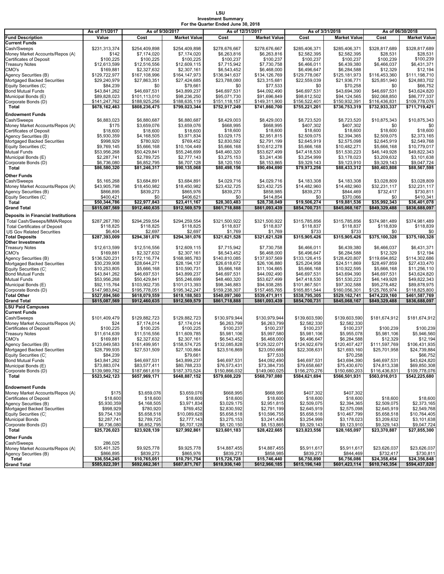#### **LSU Investment Summary For the Quarter Ended June 30, 2018**

|                                                                   | As of 7/1/2017                 |                               | As of 9/30/2017<br>As of 12/31/2017 |                                |                               | As of 3/31/2018                | As of 06/30/2018              |                               |                                |
|-------------------------------------------------------------------|--------------------------------|-------------------------------|-------------------------------------|--------------------------------|-------------------------------|--------------------------------|-------------------------------|-------------------------------|--------------------------------|
| <b>Fund Description</b>                                           | Value                          | Cost                          | <b>Market Value</b>                 | Cost                           | <b>Market Value</b>           | Cost                           | <b>Market Value</b>           | Cost                          | <b>Market Value</b>            |
| <b>Current Funds</b>                                              |                                |                               |                                     |                                |                               |                                |                               |                               |                                |
| Cash/Sweeps                                                       | \$231,313,374                  | \$254,409,898                 | \$254,409,898                       | \$278,676,667                  | \$278,676,667                 | \$285,406,371                  | \$285,406,371                 | \$328,817,689                 | \$328,817,689                  |
| Money Market Accounts/Repos (A)                                   | \$142                          | \$7,174,020                   | \$7,174,020                         | \$6,263,816                    | \$6,263,816                   | \$2,582,395                    | \$2,582,395                   | \$28,531                      | \$28,531                       |
| <b>Certificates of Deposit</b>                                    | \$100,225                      | \$100,225                     | \$100,225                           | \$100,237                      | \$100,237                     | \$100,237                      | \$100,237                     | \$100,239                     | \$100,239                      |
| <b>Treasury Notes</b>                                             | \$12,613,599                   | \$12,516,556                  | \$12,609,115                        | \$7,715,942                    | \$7,730,758                   | \$6,466,011                    | \$6,439,380                   | \$6,466,037                   | \$6,431,371                    |
| CMO's                                                             | \$169,881                      | \$2,327,632                   | \$2,307,161                         | \$6,543,452                    | \$6,468,000                   | \$6,496,647                    | \$6,284,588                   | \$12,329                      | \$12,194                       |
| Agency Securities (B)                                             | \$129,722,977                  | \$167,108,996<br>\$27,863,351 | \$164,147,973                       | \$136,941,637                  | \$134,126,769                 | \$129,778,067                  | \$125,181,973                 | \$116,453,360                 | \$111,198,710<br>\$24,883,702  |
| Mortgaged Backed Securities                                       | \$29,240,979<br>\$84,239       |                               | \$27,424,685<br>\$79,661            | \$23,788,080<br>\$0            | \$23,315,681<br>\$77,533      | \$22,559,039<br>\$0            | \$21,936,771<br>\$70,258      | \$25,851,940<br>\$0           | \$66,752                       |
| Equity Securities (C)<br><b>Bond Mutual Funds</b>                 | \$43,841,262                   | \$0<br>\$46,697,531           | \$43,899,237                        | \$46,697,531                   | \$44,092,490                  | \$46,697,531                   | \$43,694,390                  | \$46,697,531                  | \$43,624,820                   |
| Municipal Bonds (E)                                               | \$89,828,023                   | \$101,113,010                 | \$98,236,250                        | \$95,071,730                   | \$91,696,849                  | \$98,612,502                   | \$94,124,565                  | \$92,068,850                  | \$86,777,337                   |
| Corporate Bonds (D)                                               | \$141,247,762                  | \$188,925,256                 | \$188,635,119                       | \$151,118,157                  | \$149,311,900                 | \$156,522,401                  | \$150,932,391                 | \$116,436,831                 | \$109,778,076                  |
| Total                                                             | \$678,162,463                  | \$808,236,475                 | \$799,023,344                       | \$752,917,249                  | \$741,860,700                 | \$755,221,201                  | \$736,753,319                 | \$732,933,337                 | \$711,719,421                  |
|                                                                   |                                |                               |                                     |                                |                               |                                |                               |                               |                                |
| <b>Endowment Funds</b>                                            |                                |                               |                                     |                                |                               |                                |                               |                               |                                |
| Cash/Sweeps                                                       | \$6,883,023                    | \$6,880,687                   | \$6,880,687                         | \$8,429,003                    | \$8,429,003                   | \$8,723,520                    | \$8,723,520                   | \$10,875,343                  | \$10,875,343                   |
| Money Market Accounts/Repos (A)<br><b>Certificates of Deposit</b> | \$175<br>\$18,600              | \$3,659,076<br>\$18,600       | \$3,659,076<br>\$18,600             | \$668,995<br>\$18,600          | \$668,995<br>\$18,600         | \$407,302<br>\$18,600          | \$407,302<br>\$18,600         | \$0<br>\$18,600               | \$0<br>\$18,600                |
| Agency Securities (B)                                             | \$5,930,359                    | \$4,168,505                   | \$3,971,834                         | \$3,029,175                    | \$2,951,815                   | \$2,509,075                    | \$2,394,365                   | \$2,509,075                   | \$2,373,165                    |
| Mortgaged Backed Securities                                       | \$998,929                      | \$780,920                     | \$769,452                           | \$2,830,592                    | \$2,791,199                   | \$2,645,919                    | \$2,575,098                   | \$2,645,919                   | \$2,549,768                    |
| Equity Securities (C)                                             | \$9,769,145                    | \$5,666,168                   | \$10,104,449                        | \$5,666,168                    | \$10,612,278                  | \$5,666,168                    | \$10,482,271                  | \$5,666,168                   | \$10,779,017                   |
| Mutual Funds                                                      | \$53,956,268                   | \$50,429,841                  | \$55,246,699                        | \$48,460,320                   | \$53,627,499                  | \$47,418,530                   | \$51,530,223                  | \$46,149,928                  | \$49,822,343                   |
| Municipal Bonds (E)                                               | \$2,287,741                    | \$2,789,725                   | \$2,777,143                         | \$3,275,153                    | \$3,241,436                   | \$3,254,999                    | \$3,178,023                   | \$3,209,632                   | \$3,101,638                    |
| Corporate Bonds (D)                                               | \$6,736,080                    | \$6,852,795                   | \$6,707,128                         | \$8,120,150                    | \$8,153,865                   | \$9,329,143                    | \$9,123,910                   | \$9,329,143                   | \$9,047,724                    |
| Total                                                             | \$86,580,320                   | \$81,246,317                  | \$90,135,068                        | \$80,498,156                   | \$90,494,690                  | \$79,973,256                   | \$88,433,312                  | \$80,403,808                  | \$88.567.598                   |
|                                                                   |                                |                               |                                     |                                |                               |                                |                               |                               |                                |
| Other Funds                                                       |                                |                               |                                     |                                |                               |                                |                               |                               |                                |
| Cash/Sweeps<br>Money Market Accounts/Repos (A)                    | \$5,165,268                    | \$3,684,891                   | \$3,684,891<br>\$18,450,982         | \$4,029,716                    | \$4,029,716<br>\$23,432,725   | \$4,183,308                    | \$4,183,308                   | \$3,028,809                   | \$3,028,809                    |
| Agency Securities (B)                                             | \$43,905,798<br>\$866,895      | \$18,450,982<br>\$839,273     | \$865,976                           | \$23,432,725<br>\$839,273      | \$858,985                     | \$14,482,960<br>\$839,273      | \$14,482,960<br>\$844,469     | \$32,231,117<br>\$732,417     | \$32,231,117<br>\$730,811      |
| Equity Securities (C)                                             | \$400,421                      | \$0                           | \$406,621                           | \$0                            | \$414,854                     | \$0                            | \$370,066                     | \$0                           | \$410,341                      |
| Total                                                             | \$50,344,786                   | \$22,977,843                  | \$23.411.167                        | \$28,303,483                   | \$28,738,049                  | \$19,506,274                   | \$19,881,536                  | \$35,992,343                  | \$36,401,078                   |
| <b>Grand Total</b>                                                | \$815,087,569                  | \$912,460,635                 | \$912,569,579                       | \$861,718,888                  | \$861,093,439                 | \$854,700,731                  | \$845,068,167                 | \$849,329,488                 | \$836,688,097                  |
|                                                                   |                                |                               |                                     |                                |                               |                                |                               |                               |                                |
| <b>Deposits in Financial Institutions</b>                         |                                |                               |                                     |                                |                               |                                |                               |                               |                                |
| Total Cash/Sweeps/MMA/Repos                                       | \$287,267,780                  | \$294,259,554                 | \$294,259,554                       | \$321,500,922                  | \$321,500,922                 | \$315,785,856                  | \$315,785,856                 | \$374,981,489                 | \$374,981,489                  |
| <b>Total Certificates of Deposit</b>                              | \$118,825                      | \$118,825                     | \$118,825                           | \$118,837                      | \$118,837                     | \$118,837                      | \$118,837                     | \$118,839                     | \$118,839                      |
| <b>US Gov Related Securities</b>                                  | \$6,404                        | \$2,697<br>\$294,381,076      | \$2,697<br>\$294,381,076            | \$1,769<br>\$321,621,528       | \$1,769<br>\$321,621,528      | \$733<br>\$315,905,426         | \$733<br>\$315,905,426        | \$0<br>\$375,100,328          | \$375,100,328                  |
| <b>Total Deposits</b><br><b>Other Investments</b>                 | \$287,393,009                  |                               |                                     |                                |                               |                                |                               |                               |                                |
| <b>Treasury Notes</b>                                             | \$12,613,599                   | \$12,516,556                  | \$12,609,115                        | \$7,715,942                    | \$7,730,758                   | \$6,466,011                    | \$6,439,380                   | \$6,466,037                   | \$6,431,371                    |
| CMO's                                                             | \$169,881                      | \$2,327,632                   | \$2,307,161                         | \$6,543,452                    | \$6,468,000                   | \$6,496,647                    | \$6,284,588                   | \$12,329                      | \$12,194                       |
| Agency Securities (B)                                             | \$136,520,231                  | \$172,116,774                 | \$168,985,783                       | \$140,810,085                  | \$137,937,569                 | \$133,126,415                  | \$128,420,807                 | \$119,694,852                 | \$114,302,686                  |
| Mortgaged Backed Securities                                       | \$30,239,908                   | \$28,644,271                  | \$28,194,137                        | \$26,618,672                   | \$26,106,880                  | \$25,204,958                   | \$24,511,869                  | \$28,497,859                  | \$27,433,470                   |
| Equity Securities (C)                                             | \$10,253,805                   | \$5,666,168                   | \$10,590,731                        | \$5,666,168                    | \$11,104,665                  | \$5,666,168                    | \$10,922,595                  | \$5,666,168                   | \$11,256,110                   |
| <b>Bond Mutual Funds</b>                                          | \$43,841,262                   | \$46,697,531                  | \$43,899,237                        | \$46,697,531                   | \$44,092,490                  | \$46,697,531                   | \$43,694,390                  | \$46,697,531                  | \$43,624,820                   |
| <b>Mutual Funds</b>                                               | \$53,956,268                   | \$50,429,841                  | \$55,246,699                        | \$48,460,320                   | \$53,627,499                  | \$47,418,530                   | \$51,530,223                  | \$46,149,928                  | \$49,822,343                   |
| Municipal Bonds (E)                                               | \$92,115,764                   | \$103,902,735                 | \$101,013,393                       | \$98,346,883                   | \$94,938,285                  | \$101,867,501                  | \$97,302,588                  | \$95,278,482                  | \$89,878,975                   |
| Corporate Bonds (D)                                               | \$147,983,842                  | \$195,778,051                 | \$195,342,247                       | \$159,238,307                  | \$157,465,765                 | \$165,851,544                  | \$160,056,301                 | \$125,765,974                 | \$118,825,800                  |
| <b>Total Other</b>                                                | \$527,694,560                  | \$618,079,559                 | \$618,188,503                       | \$540,097,360                  | \$539,471,911                 | \$538,795,305                  | \$529,162,741                 | \$474,229,160                 | \$461,587,769                  |
| <b>Grand Total</b>                                                | \$815,087,569                  | \$912,460,635                 | \$912,569,579                       | \$861,718,888                  | \$861,093,439                 | \$854,700,731                  | \$845,068,167                 | \$849,329,488                 | \$836,688,097                  |
| <b>LSU Paid Campuses</b>                                          |                                |                               |                                     |                                |                               |                                |                               |                               |                                |
| <b>Current Funds</b>                                              |                                |                               |                                     |                                |                               |                                |                               |                               |                                |
| Cash/Sweeps                                                       | \$101.409.479                  | \$129,882,723                 | \$129,882,723                       | \$130,979,944                  | \$130,979,944                 | \$139,603,590                  | \$139,603,590                 | \$181,674,912                 | \$181,674,912                  |
| Money Market Accounts/Repos (A)                                   | \$24                           | \$7,174,014                   | \$7,174,014                         | \$6,263,799                    | \$6,263,799                   | \$2,582,330                    | \$2,582,330                   |                               |                                |
| <b>Certificates of Deposit</b>                                    | \$100,225                      | \$100,225                     | \$100,225                           | \$100,237                      | \$100,237                     | \$100,237                      | \$100,237                     | \$100,239                     | \$100,239                      |
| <b>Treasury Notes</b>                                             | \$11,614,639                   | \$11,516,556                  | \$11,609,785                        | \$5,981,106                    | \$5,997,580                   | \$5,981,106                    | \$5,955,078                   | \$5,981,106                   | \$5,946,560                    |
| CMO's                                                             | \$169,881                      | \$2,327,632                   | \$2,307,161                         | \$6,543,452                    | \$6,468,000                   | \$6,496,647                    | \$6,284,588                   | \$12,329                      | \$12,194                       |
| Agency Securities (B)                                             | \$123,649,583                  | \$161,499,951                 | \$158,574,725                       | \$132,085,828                  | \$129,322,071                 | \$124,922,679                  | \$120,407,427                 | \$111,597,769                 | \$106,431,935                  |
| Mortgaged Backed Securities                                       | \$28,799,935                   | \$27,531,509                  | \$27,100,864                        | \$23,516,869                   | \$23,050,666                  | \$22,308,631                   | \$21,693,160                  | \$25,701,958                  | \$24,739,884                   |
| Equity Securities (C)                                             | \$84,239                       |                               | \$79,661                            |                                | \$77,533                      |                                | \$70,258                      |                               | \$66,752                       |
| <b>Bond Mutual Funds</b>                                          | \$43,841,262                   | \$46,697,531                  | \$43,899,237                        | \$46,697,531                   | \$44,092,490                  | \$46,697,531                   | \$43,694,390                  | \$46,697,531                  | \$43,624,820                   |
| Municipal Bonds (E)<br>Corporate Bonds (D)                        | \$73,883,074                   | \$83,577,411<br>\$187,661,619 | \$80,788,233<br>\$187,370,524       | \$76,573,431                   | \$73,384,735<br>\$149,060,025 | \$79,658,667                   | \$75,430,670<br>\$150,680,203 | \$74,813,338<br>\$116,436,831 | \$69,850,308                   |
| <b>Total</b>                                                      | \$139,989,782<br>\$523,542,123 | \$657,969,171                 | \$648,887,152                       | \$150,866,032<br>\$579,608,229 | \$568,797,080                 | \$156,270,276<br>\$584,621,694 | \$566,501,931                 | \$563,016,013                 | \$109,778,076<br>\$542,225,680 |
|                                                                   |                                |                               |                                     |                                |                               |                                |                               |                               |                                |
| <b>Endowment Funds</b>                                            |                                |                               |                                     |                                |                               |                                |                               |                               |                                |
| Money Market Accounts/Repos (A)                                   | \$175                          | \$3,659,076                   | \$3,659,076                         | \$668,995                      | \$668,995                     | \$407,302                      | \$407,302                     |                               |                                |
| Certificates of Deposit                                           | \$18,600                       | \$18,600                      | \$18,600                            | \$18,600                       | \$18,600                      | \$18,600                       | \$18,600                      | \$18,600                      | \$18,600                       |
| Agency Securities (B)                                             | \$5,930,359                    | \$4,168,505                   | \$3,971,834                         | \$3,029,175                    | \$2,951,815                   | \$2,509,075                    | \$2,394,365                   | \$2,509,075                   | \$2,373,165                    |
| Mortgaged Backed Securities                                       | \$998,929                      | \$780,920                     | \$769,452                           | \$2,830,592                    | \$2,791,199                   | \$2,645,919                    | \$2,575,098                   | \$2,645,919                   | \$2,549,768                    |
| Equity Securities (C)                                             | \$9,754,139                    | \$5,658,518                   | \$10,089,628                        | \$5,658,518                    | \$10,596,755                  | \$5,658,518                    | \$10,467,799                  | \$5,658,518                   | \$10,764,405                   |
| <b>Municipal Bonds</b>                                            | \$2,287,741                    | \$2,789,725                   | \$2,777,143                         | \$3,275,153                    | \$3,241,436                   | \$3,254,999                    | \$3,178,023                   | \$3,209,632                   | \$3,101,638                    |
| Corporate Bonds (D)                                               | \$6,736,080                    | \$6,852,795                   | \$6,707,128                         | \$8,120,150                    | \$8,153,865                   | \$9,329,143                    | \$9,123,910                   | \$9,329,143                   | \$9,047,724                    |
| Total                                                             | \$25,726,023                   | \$23,928,139                  | \$27,992,861                        | \$23,601,183                   | \$28,422,665                  | \$23,823,556                   | \$28,165,097                  | \$23,370,887                  | \$27,855,300                   |
| Other Funds                                                       |                                |                               |                                     |                                |                               |                                |                               |                               |                                |
| Cash/Sweeps                                                       | 286,025                        |                               |                                     |                                |                               |                                |                               |                               |                                |
| Money Market Accounts/Repos (A)                                   | \$35,401,325                   | \$9,925,778                   | \$9,925,778                         | \$14,887,455                   | \$14,887,455                  | \$5,911,617                    | \$5,911,617                   | \$23,626,037                  | \$23,626,037                   |
| Agency Securities (B)                                             | \$866,895                      | \$839,273                     | \$865,976                           | \$839,273                      | \$858,985                     | \$839,273                      | \$844,469                     | \$732,417                     | \$730,811                      |
| Total                                                             | \$36,554,245                   | \$10,765,051                  | \$10,791,754                        | \$15,726,728                   | \$15,746,440                  | \$6,750,890                    | \$6,756,086                   | \$24,358,454                  | \$24,356,848                   |
| <b>Grand Total</b>                                                | \$585,822,391                  | \$692,662,361                 | \$687,671,767                       | \$618,936,140                  | \$612,966,185                 | \$615,196,140                  | \$601,423,114                 | \$610,745,354                 | \$594,437,828                  |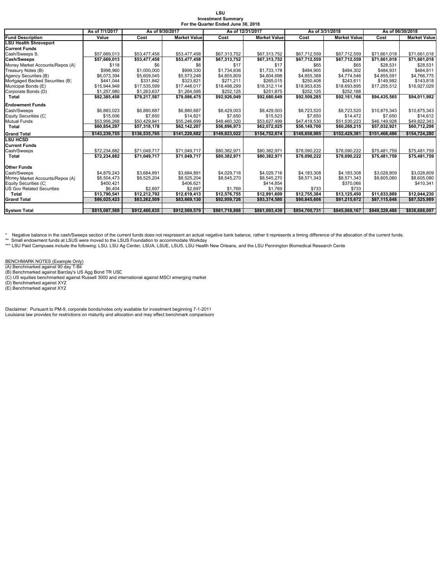| LSU                                 |  |
|-------------------------------------|--|
| <b>Investment Summary</b>           |  |
| For the Quarter Ended June 30, 2018 |  |

|                                  | As of 7/1/2017 | As of 9/30/2017 |                     |               | As of 12/31/2017    | As of 3/31/2018 |                     | As of 06/30/2018         |                     |  |
|----------------------------------|----------------|-----------------|---------------------|---------------|---------------------|-----------------|---------------------|--------------------------|---------------------|--|
| <b>Fund Description</b>          | Value          | Cost            | <b>Market Value</b> | Cost          | <b>Market Value</b> | Cost            | <b>Market Value</b> | Cost                     | <b>Market Value</b> |  |
| <b>LSU Health Shreveport</b>     |                |                 |                     |               |                     |                 |                     |                          |                     |  |
| <b>Current Funds</b>             |                |                 |                     |               |                     |                 |                     |                          |                     |  |
| Cash/Sweeps S.                   | \$57,669,013   | \$53,477,458    | \$53,477,458        | \$67,313,752  | \$67,313,752        | \$67,712,559    | \$67,712,559        | \$71,661,018             | \$71,661,018        |  |
| Cash/Sweeps                      | \$57,669,013   | \$53,477,458    | \$53,477,458        | \$67,313,752  | \$67,313,752        | \$67,712,559    | \$67,712,559        | $\overline{$}71,661,018$ | \$71,661,018        |  |
| Money Market Accounts/Repos (A)  | \$118          | \$6             | \$6                 | \$17          | \$17                | \$65            | \$65                | \$28,531                 | \$28,531            |  |
| Treasury Notes (B)               | \$998.960      | \$1,000,000     | \$999.330           | \$1,734,836   | \$1,733,178         | \$484.905       | \$484.302           | \$484.931                | \$484.811           |  |
| Agency Securities (B)            | \$6,073,394    | \$5,609,045     | \$5,573,248         | \$4,855,809   | \$4,804,698         | \$4,855,388     | \$4,774,546         | \$4,855,591              | \$4,766,775         |  |
| Mortgaged Backed Securities (B)  | \$441,044      | \$331,842       | \$323,821           | \$271,211     | \$265,015           | \$250,408       | \$243,611           | \$149,982                | \$143,818           |  |
| Municipal Bonds (E)              | \$15.944.949   | \$17.535.599    | \$17,448,017        | \$18,498,299  | \$18.312.114        | \$18.953.835    | \$18,693,895        | \$17,255,512             | \$16.927.029        |  |
| Corporate Bonds (D)              | \$1,257,980    | \$1,263,637     | \$1,264,595         | \$252,125     | \$251.875           | \$252,125       | \$252,188           |                          |                     |  |
| Total                            | \$82,385,458   | \$79,217,587    | \$79,086,475        | \$92,926,049  | \$92,680,649        | \$92,509,285    | \$92,161,166        | \$94.435.565             | \$94.011.982        |  |
| <b>Endowment Funds</b>           |                |                 |                     |               |                     |                 |                     |                          |                     |  |
| Cash/Sweeps                      | \$6,883,023    | \$6,880,687     | \$6,880,687         | \$8,429,003   | \$8,429,003         | \$8,723,520     | \$8,723,520         | \$10.875.343             | \$10.875.343        |  |
| Equity Securities (C)            | \$15,006       | \$7,650         | \$14,821            | \$7,650       | \$15.523            | \$7,650         | \$14,472            | \$7,650                  | \$14,612            |  |
| <b>Mutual Funds</b>              | \$53.956.268   | \$50.429.841    | \$55,246,699        | \$48,460,320  | \$53,627,499        | \$47,418,530    | \$51,530,223        | \$46,149,928             | \$49.822.343        |  |
| Total                            | \$60,854,297   | \$57,318,178    | \$62,142,207        | \$56,896,973  | \$62,072,025        | \$56,149,700    | \$60,268,215        | \$57,032,921             | \$60,712,298        |  |
| <b>Grand Total</b>               | \$143.239.755  | \$136,535,765   | \$141,228,682       | \$149,823,022 | \$154,752,674       | \$148,658,985   | \$152,429,381       | \$151,468,486            | \$154,724,280       |  |
| <b>LSU HCSD</b>                  |                |                 |                     |               |                     |                 |                     |                          |                     |  |
| <b>Current Funds</b>             |                |                 |                     |               |                     |                 |                     |                          |                     |  |
| Cash/Sweeps                      | \$72,234,882   | \$71,049,717    | \$71,049,717        | \$80,382,971  | \$80,382,971        | \$78,090,222    | \$78,090,222        | \$75,481,759             | \$75,481,759        |  |
| Total                            | \$72,234,882   | \$71,049,717    | \$71,049,717        | \$80,382,971  | \$80,382,971        | \$78,090,222    | \$78,090,222        | \$75,481,759             | \$75,481,759        |  |
| <b>Other Funds</b>               |                |                 |                     |               |                     |                 |                     |                          |                     |  |
| Cash/Sweeps                      | \$4,879,243    | \$3.684.891     | \$3.684.891         | \$4.029.716   | \$4,029,716         | \$4,183,308     | \$4,183,308         | \$3.028.809              | \$3,028,809         |  |
| Money Market Accounts/Repos (A)  | \$8,504,473    | \$8,525,204     | \$8,525,204         | \$8,545,270   | \$8,545,270         | \$8,571,343     | \$8,571,343         | \$8,605,080              | \$8,605,080         |  |
| Equity Securities (C)            | \$400.421      |                 | \$406,621           |               | \$414.854           |                 | \$370,066           |                          | \$410,341           |  |
| <b>US Gov Related Securities</b> | \$6,404        | \$2,697         | \$2.697             | \$1,769       | \$1.769             | \$733           | \$733               |                          |                     |  |
| Total                            | \$13,790,541   | \$12,212,792    | \$12,619,413        | \$12,576,755  | \$12,991,609        | \$12,755,384    | \$13,125,450        | \$11,633,889             | \$12,044,230        |  |
| <b>Grand Total</b>               | \$86,025,423   | \$83,262,509    | \$83,669,130        | \$92,959,726  | \$93,374,580        | \$90.845.606    | \$91.215.672        | \$87.115.648             | \$87,525,989        |  |
|                                  |                |                 |                     |               |                     |                 |                     |                          |                     |  |
| <b>System Total</b>              | \$815,087,569  | \$912,460,635   | \$912,569,579       | \$861,718,888 | \$861,093,439       | \$854.700.731   | \$845.068.167       | \$849,329,488            | \$836,688,097       |  |

\* Negative balance in the cash/Sweeps section of the current funds does not respresent an actual negative bank balance, rather it represents a timing difference of the allocation of the current funds.

\*\* Small endowment funds at LSUS were moved to the LSUS Foundation to accommodate Workday<br>\*\*\* LSU Paid Campuses include the following: LSU, LSU Ag Center, LSUA, LSUE, LSUS, LSU Health New Orleans, and the LSU Pennington Bi

BENCHMARK NOTES (Example Only)<br>(A) Benchmarked against 90 day T-Bil<br>(B) Benchmarked against Barclay's US Agg Bond TR USD<br>(C) US equities benchmarked against Russell 3000 and international against MSCI emerging market<br>(D) B

Disclaimer: Pursuant to PM-9, corporate bonds/notes only available for investment beginning 7-1-2011 Louisiana law provides for restrictions on maturity and allocation and may effect benchmark comparisons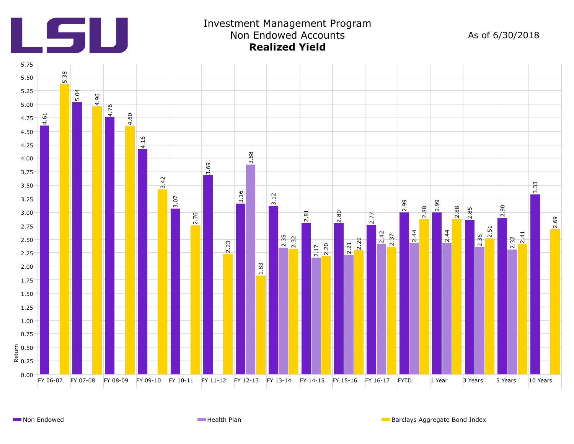

# Investment Management Program Non Endowed Accounts **Realized Yield**

As of 6/30/2018

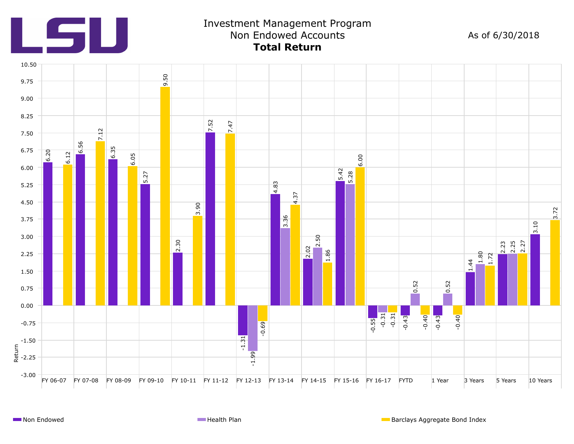

## Investment Management Program Non Endowed Accounts **Total Return**

As of 6/30/2018

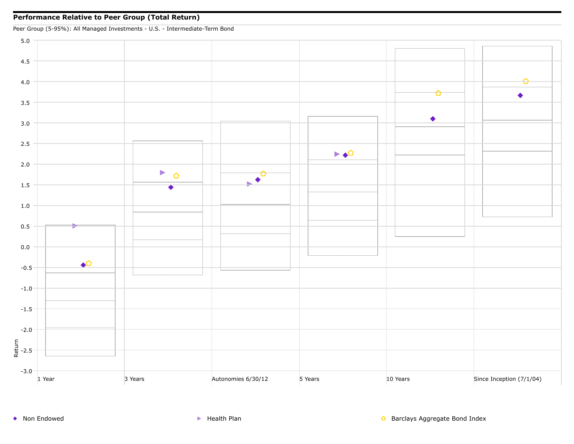Peer Group (5-95%): All Managed Investments - U.S. - Intermediate-Term Bond

5.0 4.5 Ó 4.0 ▲ 3.5  $\bullet$ 3.0 2.5  $\blacktriangleright \blacklozenge$ 2.0  $\blacktriangleright$  $\Omega$  $\blacklozenge$ 1.5 1.0 0.5 0.0  $\triangle$ -0.5 -1.0 -1.5 -2.0 트<br># -2.5<br>¤ -3.0 1 Year 3 Years 3 Years Autonomies 6/30/12 5 Years 10 Years 10 Years Since Inception (7/1/04)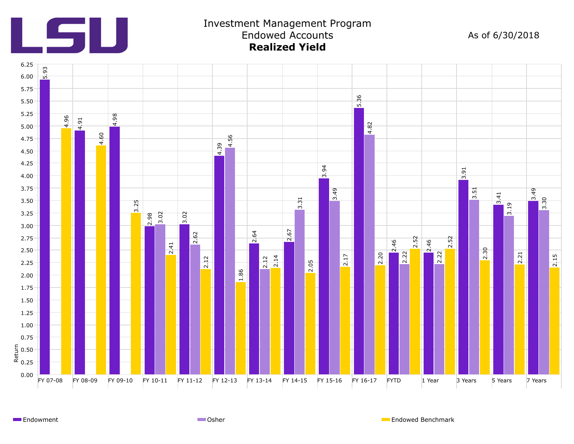

### Investment Management Program Endowed Accounts **Realized Yield**

As of 6/30/2018



Endowment **Endowed Benchmark** Communication Communication Communication Communication Communication Communication Communication Communication Communication Communication Communication Communication Communication Communicat